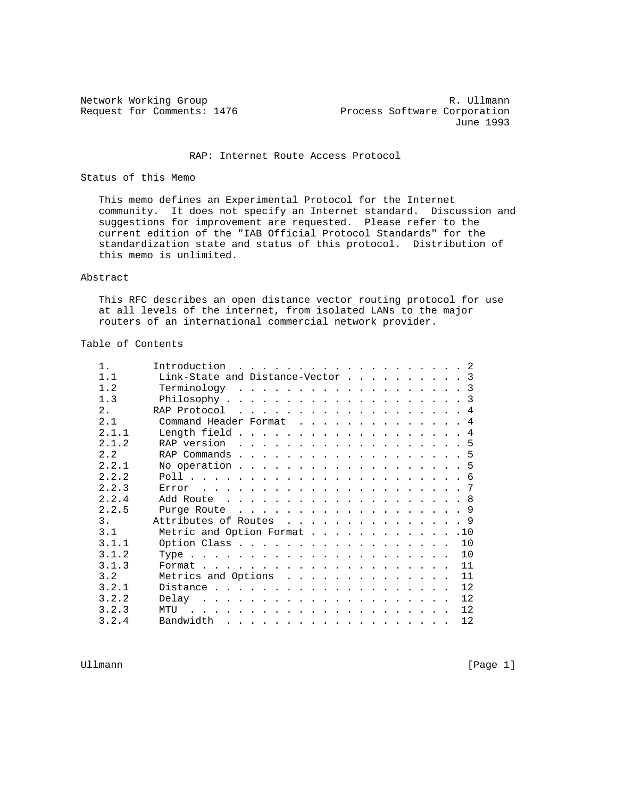Network Working Group and the set of the set of the set of the R. Ullmann Request for Comments: 1476 Process Software Corporation June 1993

## RAP: Internet Route Access Protocol

Status of this Memo

 This memo defines an Experimental Protocol for the Internet community. It does not specify an Internet standard. Discussion and suggestions for improvement are requested. Please refer to the current edition of the "IAB Official Protocol Standards" for the standardization state and status of this protocol. Distribution of this memo is unlimited.

#### Abstract

 This RFC describes an open distance vector routing protocol for use at all levels of the internet, from isolated LANs to the major routers of an international commercial network provider.

# Table of Contents

| $1$ . | Introduction $\ldots$ 2                                                                                                                                                                                                                    |
|-------|--------------------------------------------------------------------------------------------------------------------------------------------------------------------------------------------------------------------------------------------|
| 1.1   | Link-State and Distance-Vector 3                                                                                                                                                                                                           |
| 1.2   | $Terminology$ 3                                                                                                                                                                                                                            |
| 1.3   |                                                                                                                                                                                                                                            |
| 2.    | RAP Protocol $\dots$ , 4                                                                                                                                                                                                                   |
| 2.1   | Command Header Format 4                                                                                                                                                                                                                    |
| 2.1.1 | Length field 4                                                                                                                                                                                                                             |
| 2.1.2 | RAP version $\ldots$ 5                                                                                                                                                                                                                     |
| 2.2   | RAP Commands $\ldots$ 5                                                                                                                                                                                                                    |
| 2.2.1 | No operation 5                                                                                                                                                                                                                             |
| 2.2.2 |                                                                                                                                                                                                                                            |
| 2.2.3 |                                                                                                                                                                                                                                            |
| 2.2.4 |                                                                                                                                                                                                                                            |
| 2.2.5 | Purge Route $\ldots$ 9                                                                                                                                                                                                                     |
| 3.    | Attributes of Routes 9                                                                                                                                                                                                                     |
| 3.1   | Metric and Option Format 10                                                                                                                                                                                                                |
| 3.1.1 | Option Class<br>10                                                                                                                                                                                                                         |
| 3.1.2 | 10                                                                                                                                                                                                                                         |
| 3.1.3 | 11                                                                                                                                                                                                                                         |
| 3.2   | 11<br>Metrics and Options                                                                                                                                                                                                                  |
| 3.2.1 | 12                                                                                                                                                                                                                                         |
| 3.2.2 | 12                                                                                                                                                                                                                                         |
| 3.2.3 | 12<br>MTU<br>a construction of the construction of the construction of the construction of the construction of the construction of the construction of the construction of the construction of the construction of the construction of the |
| 3.2.4 | 12                                                                                                                                                                                                                                         |

Ullmann [Page 1]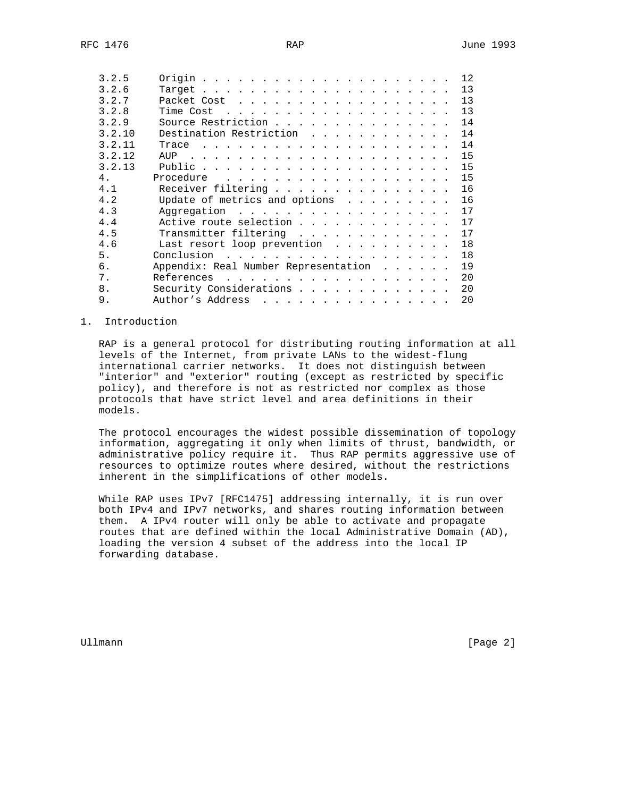| 3.2.5  |                                                                                                                                                                                                                                                    | 12 |
|--------|----------------------------------------------------------------------------------------------------------------------------------------------------------------------------------------------------------------------------------------------------|----|
| 3.2.6  |                                                                                                                                                                                                                                                    | 13 |
| 3.2.7  | Packet Cost                                                                                                                                                                                                                                        | 13 |
| 3.2.8  | Time Cost<br>. The contract of the contract of the contract of the contract of the contract of the contract of the contract of the contract of the contract of the contract of the contract of the contract of the contract of the contrac         | 13 |
| 3.2.9  | Source Restriction                                                                                                                                                                                                                                 | 14 |
| 3.2.10 | Destination Restriction                                                                                                                                                                                                                            | 14 |
| 3.2.11 | Trace<br>and the contract of the contract of the contract of the contract of the contract of the contract of the contract of the contract of the contract of the contract of the contract of the contract of the contract of the contra            | 14 |
| 3.2.12 |                                                                                                                                                                                                                                                    | 15 |
| 3.2.13 |                                                                                                                                                                                                                                                    | 15 |
| 4.     | Procedure<br>and the contract of the contract of the contract of the contract of the contract of the contract of the contract of the contract of the contract of the contract of the contract of the contract of the contract of the contra        | 15 |
| 4.1    | Receiver filtering                                                                                                                                                                                                                                 | 16 |
| 4.2    | Update of metrics and options                                                                                                                                                                                                                      | 16 |
| 4.3    | Aggregation                                                                                                                                                                                                                                        | 17 |
| 4.4    | Active route selection                                                                                                                                                                                                                             | 17 |
| 4.5    | Transmitter filtering                                                                                                                                                                                                                              | 17 |
| 4.6    | Last resort loop prevention                                                                                                                                                                                                                        | 18 |
| 5.     | Conclusion<br>. The second contract is a second contract of the second contract $\mathcal{L}_\mathcal{A}$                                                                                                                                          | 18 |
| б.     | Appendix: Real Number Representation<br>$\mathbf{r}$ and $\mathbf{r}$ and $\mathbf{r}$ and $\mathbf{r}$                                                                                                                                            | 19 |
| 7.     | References                                                                                                                                                                                                                                         | 20 |
| 8.     | Security Considerations                                                                                                                                                                                                                            | 20 |
| 9.     | Author's Address<br>and the contract of the contract of the contract of the contract of the contract of the contract of the contract of the contract of the contract of the contract of the contract of the contract of the contract of the contra | 20 |

## 1. Introduction

 RAP is a general protocol for distributing routing information at all levels of the Internet, from private LANs to the widest-flung international carrier networks. It does not distinguish between "interior" and "exterior" routing (except as restricted by specific policy), and therefore is not as restricted nor complex as those protocols that have strict level and area definitions in their models.

 The protocol encourages the widest possible dissemination of topology information, aggregating it only when limits of thrust, bandwidth, or administrative policy require it. Thus RAP permits aggressive use of resources to optimize routes where desired, without the restrictions inherent in the simplifications of other models.

 While RAP uses IPv7 [RFC1475] addressing internally, it is run over both IPv4 and IPv7 networks, and shares routing information between them. A IPv4 router will only be able to activate and propagate routes that are defined within the local Administrative Domain (AD), loading the version 4 subset of the address into the local IP forwarding database.

Ullmann [Page 2]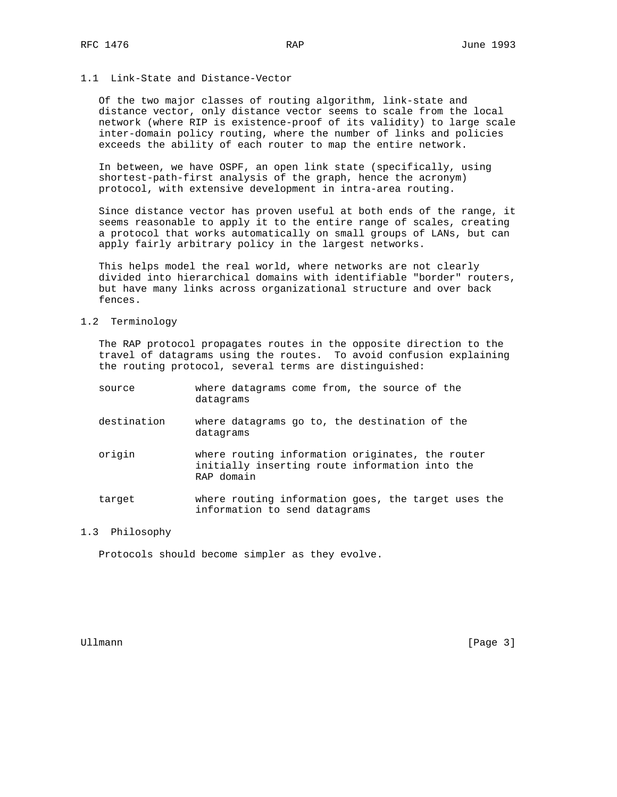### 1.1 Link-State and Distance-Vector

 Of the two major classes of routing algorithm, link-state and distance vector, only distance vector seems to scale from the local network (where RIP is existence-proof of its validity) to large scale inter-domain policy routing, where the number of links and policies exceeds the ability of each router to map the entire network.

 In between, we have OSPF, an open link state (specifically, using shortest-path-first analysis of the graph, hence the acronym) protocol, with extensive development in intra-area routing.

 Since distance vector has proven useful at both ends of the range, it seems reasonable to apply it to the entire range of scales, creating a protocol that works automatically on small groups of LANs, but can apply fairly arbitrary policy in the largest networks.

 This helps model the real world, where networks are not clearly divided into hierarchical domains with identifiable "border" routers, but have many links across organizational structure and over back fences.

1.2 Terminology

 The RAP protocol propagates routes in the opposite direction to the travel of datagrams using the routes. To avoid confusion explaining the routing protocol, several terms are distinguished:

| source      | where datagrams come from, the source of the<br>datagrams                                                        |
|-------------|------------------------------------------------------------------------------------------------------------------|
| destination | where datagrams go to, the destination of the<br>datagrams                                                       |
| origin      | where routing information originates, the router<br>initially inserting route information into the<br>RAP domain |
| target      | where routing information goes, the target uses the<br>information to send datagrams                             |

# 1.3 Philosophy

Protocols should become simpler as they evolve.

Ullmann [Page 3]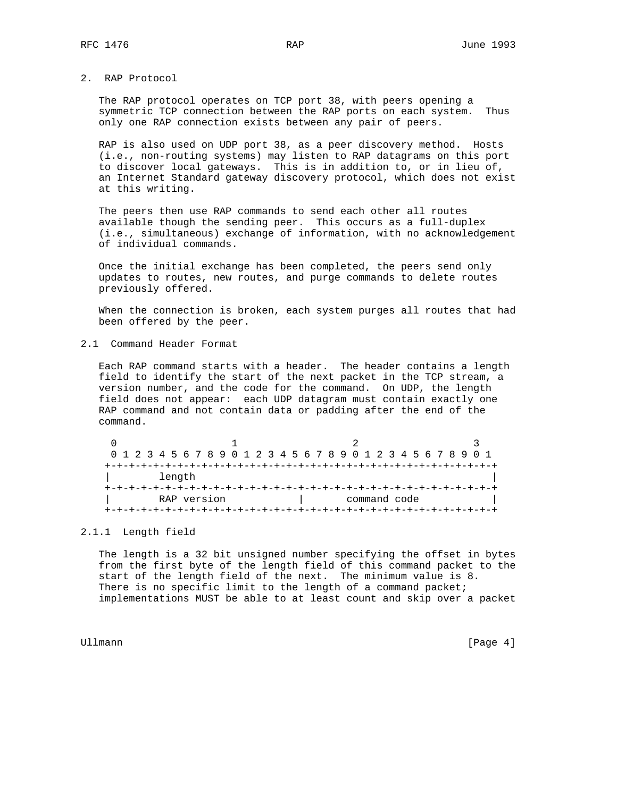2. RAP Protocol

 The RAP protocol operates on TCP port 38, with peers opening a symmetric TCP connection between the RAP ports on each system. Thus only one RAP connection exists between any pair of peers.

 RAP is also used on UDP port 38, as a peer discovery method. Hosts (i.e., non-routing systems) may listen to RAP datagrams on this port to discover local gateways. This is in addition to, or in lieu of, an Internet Standard gateway discovery protocol, which does not exist at this writing.

 The peers then use RAP commands to send each other all routes available though the sending peer. This occurs as a full-duplex (i.e., simultaneous) exchange of information, with no acknowledgement of individual commands.

 Once the initial exchange has been completed, the peers send only updates to routes, new routes, and purge commands to delete routes previously offered.

 When the connection is broken, each system purges all routes that had been offered by the peer.

2.1 Command Header Format

 Each RAP command starts with a header. The header contains a length field to identify the start of the next packet in the TCP stream, a version number, and the code for the command. On UDP, the length field does not appear: each UDP datagram must contain exactly one RAP command and not contain data or padding after the end of the command.

|  |  |  |        |             |  |  |  |  |  |  | 0 1 2 3 4 5 6 7 8 9 0 1 2 3 4 5 6 7 8 9 0 1 2 3 4 5 6 7 8 9 0 1 |  |  |  |  |  |  |
|--|--|--|--------|-------------|--|--|--|--|--|--|-----------------------------------------------------------------|--|--|--|--|--|--|
|  |  |  |        |             |  |  |  |  |  |  |                                                                 |  |  |  |  |  |  |
|  |  |  | length |             |  |  |  |  |  |  |                                                                 |  |  |  |  |  |  |
|  |  |  |        |             |  |  |  |  |  |  |                                                                 |  |  |  |  |  |  |
|  |  |  |        | RAP version |  |  |  |  |  |  | command code                                                    |  |  |  |  |  |  |
|  |  |  |        |             |  |  |  |  |  |  |                                                                 |  |  |  |  |  |  |

## 2.1.1 Length field

 The length is a 32 bit unsigned number specifying the offset in bytes from the first byte of the length field of this command packet to the start of the length field of the next. The minimum value is 8. There is no specific limit to the length of a command packet; implementations MUST be able to at least count and skip over a packet

Ullmann [Page 4]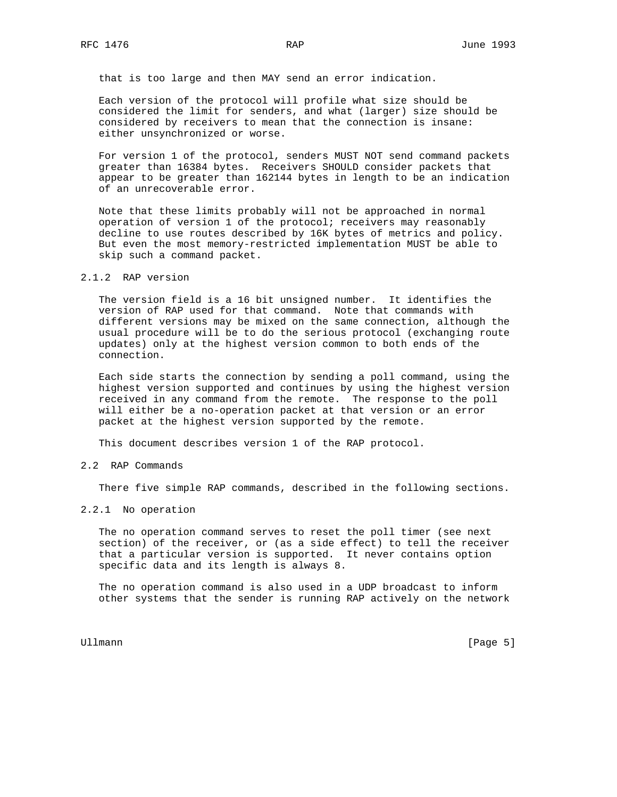that is too large and then MAY send an error indication.

 Each version of the protocol will profile what size should be considered the limit for senders, and what (larger) size should be considered by receivers to mean that the connection is insane: either unsynchronized or worse.

 For version 1 of the protocol, senders MUST NOT send command packets greater than 16384 bytes. Receivers SHOULD consider packets that appear to be greater than 162144 bytes in length to be an indication of an unrecoverable error.

 Note that these limits probably will not be approached in normal operation of version 1 of the protocol; receivers may reasonably decline to use routes described by 16K bytes of metrics and policy. But even the most memory-restricted implementation MUST be able to skip such a command packet.

### 2.1.2 RAP version

 The version field is a 16 bit unsigned number. It identifies the version of RAP used for that command. Note that commands with different versions may be mixed on the same connection, although the usual procedure will be to do the serious protocol (exchanging route updates) only at the highest version common to both ends of the connection.

 Each side starts the connection by sending a poll command, using the highest version supported and continues by using the highest version received in any command from the remote. The response to the poll will either be a no-operation packet at that version or an error packet at the highest version supported by the remote.

This document describes version 1 of the RAP protocol.

#### 2.2 RAP Commands

There five simple RAP commands, described in the following sections.

## 2.2.1 No operation

 The no operation command serves to reset the poll timer (see next section) of the receiver, or (as a side effect) to tell the receiver that a particular version is supported. It never contains option specific data and its length is always 8.

 The no operation command is also used in a UDP broadcast to inform other systems that the sender is running RAP actively on the network

Ullmann [Page 5]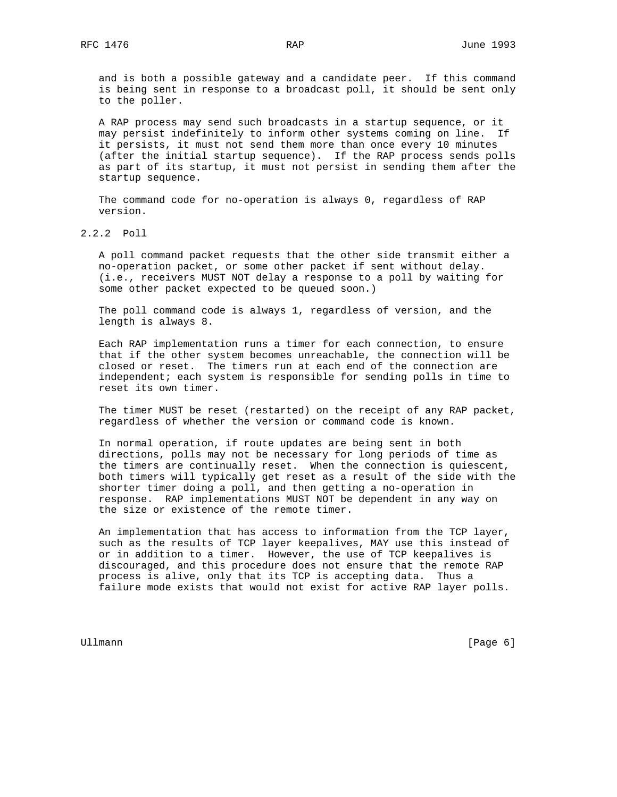and is both a possible gateway and a candidate peer. If this command is being sent in response to a broadcast poll, it should be sent only to the poller.

 A RAP process may send such broadcasts in a startup sequence, or it may persist indefinitely to inform other systems coming on line. If it persists, it must not send them more than once every 10 minutes (after the initial startup sequence). If the RAP process sends polls as part of its startup, it must not persist in sending them after the startup sequence.

 The command code for no-operation is always 0, regardless of RAP version.

2.2.2 Poll

 A poll command packet requests that the other side transmit either a no-operation packet, or some other packet if sent without delay. (i.e., receivers MUST NOT delay a response to a poll by waiting for some other packet expected to be queued soon.)

 The poll command code is always 1, regardless of version, and the length is always 8.

 Each RAP implementation runs a timer for each connection, to ensure that if the other system becomes unreachable, the connection will be closed or reset. The timers run at each end of the connection are independent; each system is responsible for sending polls in time to reset its own timer.

 The timer MUST be reset (restarted) on the receipt of any RAP packet, regardless of whether the version or command code is known.

 In normal operation, if route updates are being sent in both directions, polls may not be necessary for long periods of time as the timers are continually reset. When the connection is quiescent, both timers will typically get reset as a result of the side with the shorter timer doing a poll, and then getting a no-operation in response. RAP implementations MUST NOT be dependent in any way on the size or existence of the remote timer.

 An implementation that has access to information from the TCP layer, such as the results of TCP layer keepalives, MAY use this instead of or in addition to a timer. However, the use of TCP keepalives is discouraged, and this procedure does not ensure that the remote RAP process is alive, only that its TCP is accepting data. Thus a failure mode exists that would not exist for active RAP layer polls.

Ullmann [Page 6]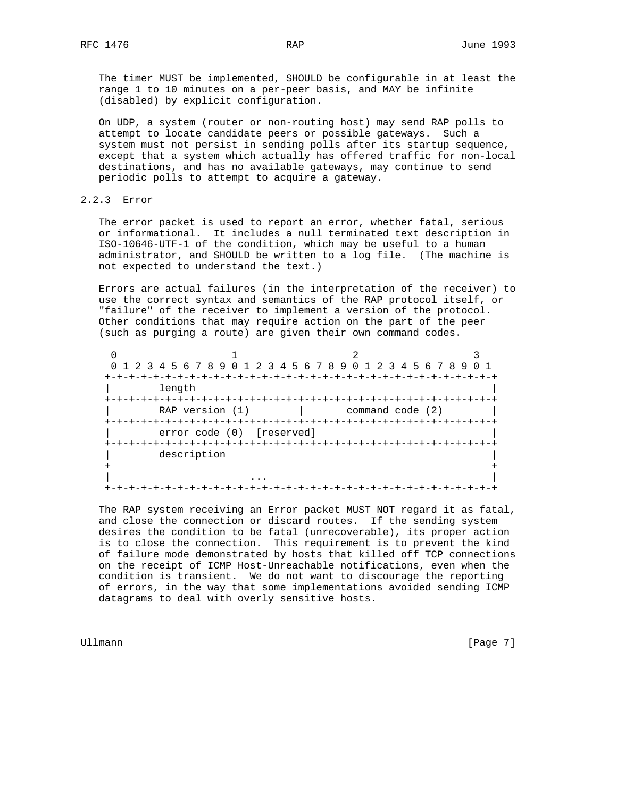The timer MUST be implemented, SHOULD be configurable in at least the range 1 to 10 minutes on a per-peer basis, and MAY be infinite (disabled) by explicit configuration.

 On UDP, a system (router or non-routing host) may send RAP polls to attempt to locate candidate peers or possible gateways. Such a system must not persist in sending polls after its startup sequence, except that a system which actually has offered traffic for non-local destinations, and has no available gateways, may continue to send periodic polls to attempt to acquire a gateway.

2.2.3 Error

 The error packet is used to report an error, whether fatal, serious or informational. It includes a null terminated text description in ISO-10646-UTF-1 of the condition, which may be useful to a human administrator, and SHOULD be written to a log file. (The machine is not expected to understand the text.)

 Errors are actual failures (in the interpretation of the receiver) to use the correct syntax and semantics of the RAP protocol itself, or "failure" of the receiver to implement a version of the protocol. Other conditions that may require action on the part of the peer (such as purging a route) are given their own command codes.

| 0 1 2 3 4 5 6 7 8 9 0 1 2 3 4 5 6 7 8 9 0 1 2 3 4 5 6 7 8 9 0 1 |                           |                  |  |
|-----------------------------------------------------------------|---------------------------|------------------|--|
|                                                                 |                           |                  |  |
| length                                                          |                           |                  |  |
|                                                                 |                           |                  |  |
| RAP version $(1)$                                               |                           | command code (2) |  |
|                                                                 |                           |                  |  |
|                                                                 | error code (0) [reserved] |                  |  |
|                                                                 |                           |                  |  |
| description                                                     |                           |                  |  |
|                                                                 |                           |                  |  |
|                                                                 |                           |                  |  |
|                                                                 |                           |                  |  |

 The RAP system receiving an Error packet MUST NOT regard it as fatal, and close the connection or discard routes. If the sending system desires the condition to be fatal (unrecoverable), its proper action is to close the connection. This requirement is to prevent the kind of failure mode demonstrated by hosts that killed off TCP connections on the receipt of ICMP Host-Unreachable notifications, even when the condition is transient. We do not want to discourage the reporting of errors, in the way that some implementations avoided sending ICMP datagrams to deal with overly sensitive hosts.

Ullmann [Page 7]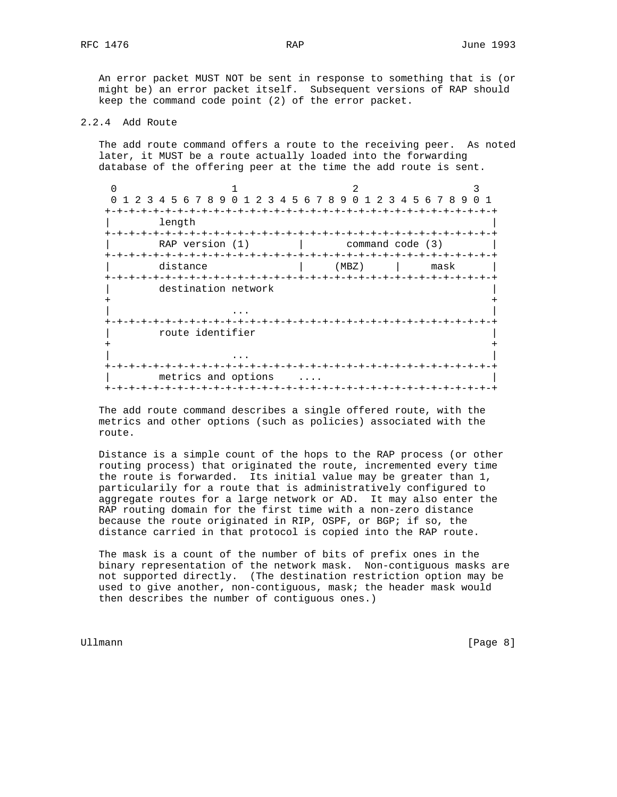An error packet MUST NOT be sent in response to something that is (or might be) an error packet itself. Subsequent versions of RAP should keep the command code point (2) of the error packet.

## 2.2.4 Add Route

 The add route command offers a route to the receiving peer. As noted later, it MUST be a route actually loaded into the forwarding database of the offering peer at the time the add route is sent.

 $0$  1 2 3 0 1 2 3 4 5 6 7 8 9 0 1 2 3 4 5 6 7 8 9 0 1 2 3 4 5 6 7 8 9 0 1 +-+-+-+-+-+-+-+-+-+-+-+-+-+-+-+-+-+-+-+-+-+-+-+-+-+-+-+-+-+-+-+-+ | length | +-+-+-+-+-+-+-+-+-+-+-+-+-+-+-+-+-+-+-+-+-+-+-+-+-+-+-+-+-+-+-+-+  $RAP$  version  $(1)$  | +-+-+-+-+-+-+-+-+-+-+-+-+-+-+-+-+-+-+-+-+-+-+-+-+-+-+-+-+-+-+-+-+ distance  $|\hspace{.1cm} (MBZ) \hspace{.1cm} | \hspace{.1cm} max$  +-+-+-+-+-+-+-+-+-+-+-+-+-+-+-+-+-+-+-+-+-+-+-+-+-+-+-+-+-+-+-+-+ destination network + + | ... | ... | ... | ... | ... | ... | ... | ... | ... | ... | ... | ... | ... | ... | ... | ... | ... | ... | +-+-+-+-+-+-+-+-+-+-+-+-+-+-+-+-+-+-+-+-+-+-+-+-+-+-+-+-+-+-+-+-+ | route identifier | + + | ... | ... | ... | ... | ... | ... | ... | ... | ... | ... | ... | ... | ... | ... | ... | ... | ... | ... | +-+-+-+-+-+-+-+-+-+-+-+-+-+-+-+-+-+-+-+-+-+-+-+-+-+-+-+-+-+-+-+-+ metrics and options .... +-+-+-+-+-+-+-+-+-+-+-+-+-+-+-+-+-+-+-+-+-+-+-+-+-+-+-+-+-+-+-+-+

 The add route command describes a single offered route, with the metrics and other options (such as policies) associated with the route.

 Distance is a simple count of the hops to the RAP process (or other routing process) that originated the route, incremented every time the route is forwarded. Its initial value may be greater than 1, particularily for a route that is administratively configured to aggregate routes for a large network or AD. It may also enter the RAP routing domain for the first time with a non-zero distance because the route originated in RIP, OSPF, or BGP; if so, the distance carried in that protocol is copied into the RAP route.

 The mask is a count of the number of bits of prefix ones in the binary representation of the network mask. Non-contiguous masks are not supported directly. (The destination restriction option may be used to give another, non-contiguous, mask; the header mask would then describes the number of contiguous ones.)

Ullmann [Page 8]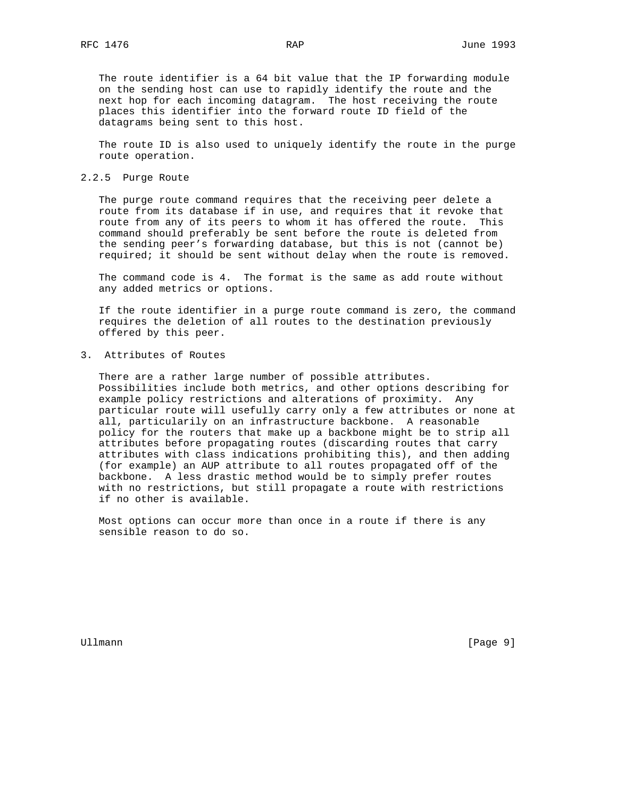The route identifier is a 64 bit value that the IP forwarding module on the sending host can use to rapidly identify the route and the next hop for each incoming datagram. The host receiving the route places this identifier into the forward route ID field of the datagrams being sent to this host.

 The route ID is also used to uniquely identify the route in the purge route operation.

### 2.2.5 Purge Route

 The purge route command requires that the receiving peer delete a route from its database if in use, and requires that it revoke that route from any of its peers to whom it has offered the route. This command should preferably be sent before the route is deleted from the sending peer's forwarding database, but this is not (cannot be) required; it should be sent without delay when the route is removed.

 The command code is 4. The format is the same as add route without any added metrics or options.

 If the route identifier in a purge route command is zero, the command requires the deletion of all routes to the destination previously offered by this peer.

3. Attributes of Routes

 There are a rather large number of possible attributes. Possibilities include both metrics, and other options describing for example policy restrictions and alterations of proximity. Any particular route will usefully carry only a few attributes or none at all, particularily on an infrastructure backbone. A reasonable policy for the routers that make up a backbone might be to strip all attributes before propagating routes (discarding routes that carry attributes with class indications prohibiting this), and then adding (for example) an AUP attribute to all routes propagated off of the backbone. A less drastic method would be to simply prefer routes with no restrictions, but still propagate a route with restrictions if no other is available.

 Most options can occur more than once in a route if there is any sensible reason to do so.

Ullmann [Page 9]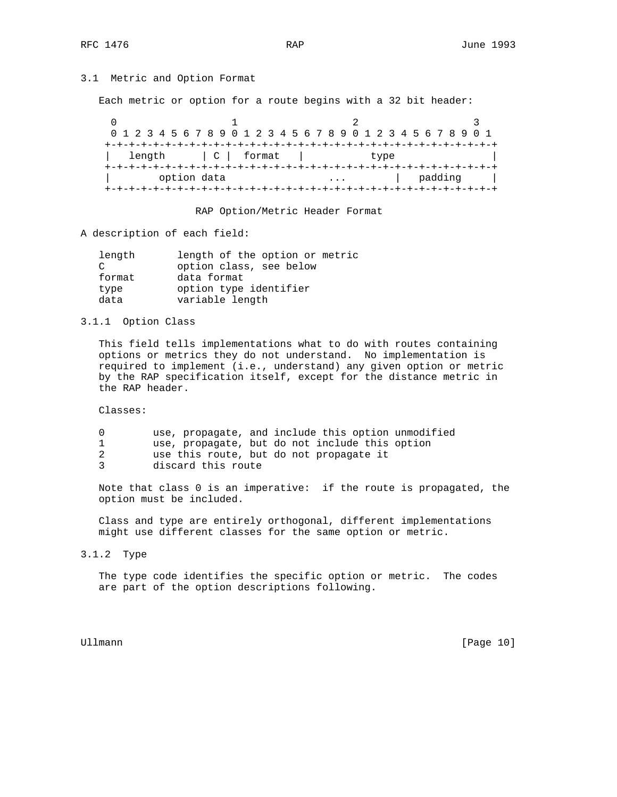# 3.1 Metric and Option Format

Each metric or option for a route begins with a 32 bit header:

| 0 1 2 3 4 5 6 7 8 9 0 1 2 3 4 5 6 7 8 9 0 1 2 3 4 5 6 7 8 9 0 1 |             |  |              |  |  |  |  |  |  |      |  |  |         |  |  |
|-----------------------------------------------------------------|-------------|--|--------------|--|--|--|--|--|--|------|--|--|---------|--|--|
|                                                                 |             |  |              |  |  |  |  |  |  |      |  |  |         |  |  |
| length                                                          |             |  | $ C $ format |  |  |  |  |  |  | type |  |  |         |  |  |
|                                                                 |             |  |              |  |  |  |  |  |  |      |  |  |         |  |  |
|                                                                 | option data |  |              |  |  |  |  |  |  |      |  |  | padding |  |  |
|                                                                 |             |  |              |  |  |  |  |  |  |      |  |  |         |  |  |

RAP Option/Metric Header Format

A description of each field:

| length        | length of the option or metric |
|---------------|--------------------------------|
| $\mathcal{C}$ | option class, see below        |
| format        | data format                    |
| type          | option type identifier         |
| data          | variable length                |
|               |                                |

3.1.1 Option Class

 This field tells implementations what to do with routes containing options or metrics they do not understand. No implementation is required to implement (i.e., understand) any given option or metric by the RAP specification itself, except for the distance metric in the RAP header.

Classes:

| use, propagate, and include this option unmodified |
|----------------------------------------------------|
| use, propagate, but do not include this option     |
| use this route, but do not propagate it            |
| discard this route                                 |

 Note that class 0 is an imperative: if the route is propagated, the option must be included.

 Class and type are entirely orthogonal, different implementations might use different classes for the same option or metric.

3.1.2 Type

 The type code identifies the specific option or metric. The codes are part of the option descriptions following.

Ullmann [Page 10]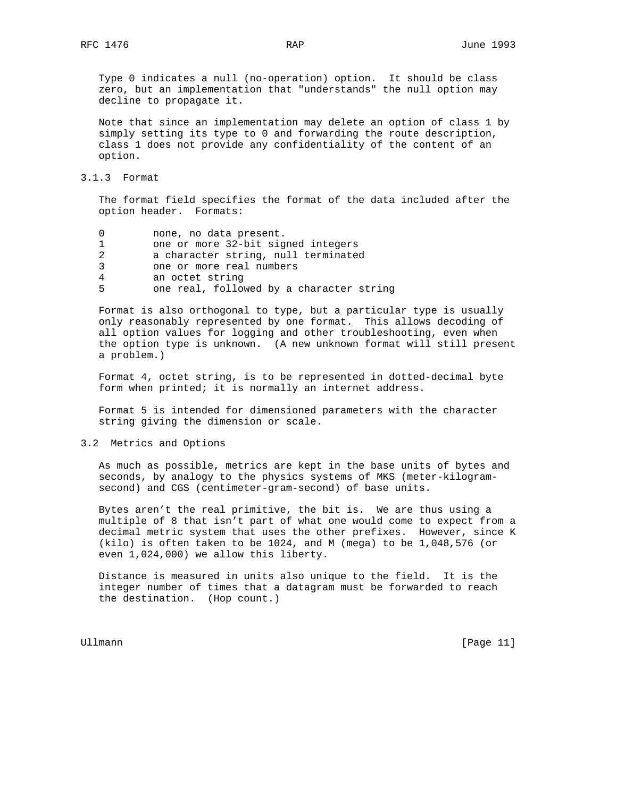Type 0 indicates a null (no-operation) option. It should be class zero, but an implementation that "understands" the null option may decline to propagate it.

 Note that since an implementation may delete an option of class 1 by simply setting its type to 0 and forwarding the route description, class 1 does not provide any confidentiality of the content of an option.

#### 3.1.3 Format

 The format field specifies the format of the data included after the option header. Formats:

| 0  | none, no data present.                   |
|----|------------------------------------------|
| 1. | one or more 32-bit signed integers       |
| 2  | a character string, null terminated      |
| 3  | one or more real numbers                 |
| 4  | an octet string                          |
| 5  | one real, followed by a character string |

 Format is also orthogonal to type, but a particular type is usually only reasonably represented by one format. This allows decoding of all option values for logging and other troubleshooting, even when the option type is unknown. (A new unknown format will still present a problem.)

 Format 4, octet string, is to be represented in dotted-decimal byte form when printed; it is normally an internet address.

 Format 5 is intended for dimensioned parameters with the character string giving the dimension or scale.

## 3.2 Metrics and Options

 As much as possible, metrics are kept in the base units of bytes and seconds, by analogy to the physics systems of MKS (meter-kilogram second) and CGS (centimeter-gram-second) of base units.

 Bytes aren't the real primitive, the bit is. We are thus using a multiple of 8 that isn't part of what one would come to expect from a decimal metric system that uses the other prefixes. However, since K (kilo) is often taken to be 1024, and M (mega) to be 1,048,576 (or even 1,024,000) we allow this liberty.

 Distance is measured in units also unique to the field. It is the integer number of times that a datagram must be forwarded to reach the destination. (Hop count.)

Ullmann [Page 11]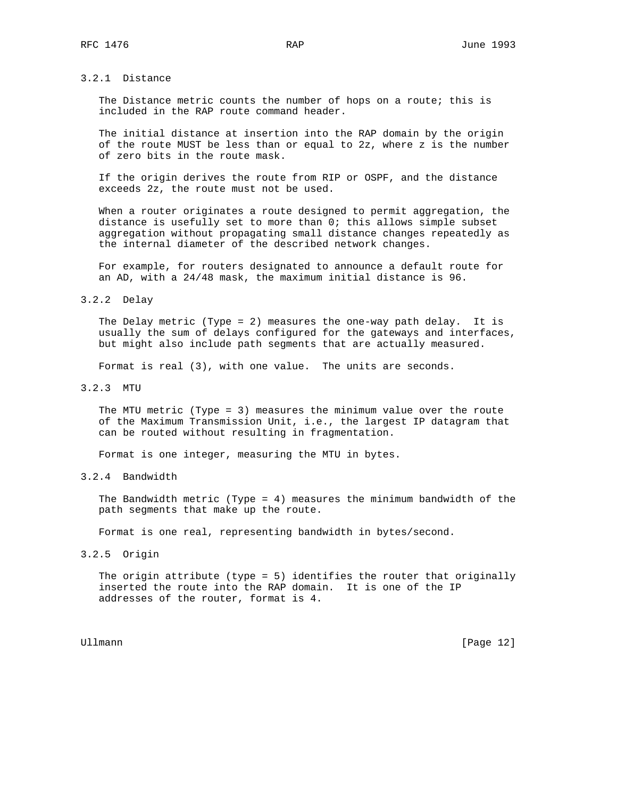# 3.2.1 Distance

 The Distance metric counts the number of hops on a route; this is included in the RAP route command header.

 The initial distance at insertion into the RAP domain by the origin of the route MUST be less than or equal to 2z, where z is the number of zero bits in the route mask.

 If the origin derives the route from RIP or OSPF, and the distance exceeds 2z, the route must not be used.

 When a router originates a route designed to permit aggregation, the distance is usefully set to more than 0; this allows simple subset aggregation without propagating small distance changes repeatedly as the internal diameter of the described network changes.

 For example, for routers designated to announce a default route for an AD, with a 24/48 mask, the maximum initial distance is 96.

#### 3.2.2 Delay

 The Delay metric (Type = 2) measures the one-way path delay. It is usually the sum of delays configured for the gateways and interfaces, but might also include path segments that are actually measured.

Format is real (3), with one value. The units are seconds.

#### 3.2.3 MTU

 The MTU metric (Type = 3) measures the minimum value over the route of the Maximum Transmission Unit, i.e., the largest IP datagram that can be routed without resulting in fragmentation.

Format is one integer, measuring the MTU in bytes.

# 3.2.4 Bandwidth

 The Bandwidth metric (Type = 4) measures the minimum bandwidth of the path segments that make up the route.

Format is one real, representing bandwidth in bytes/second.

#### 3.2.5 Origin

 The origin attribute (type = 5) identifies the router that originally inserted the route into the RAP domain. It is one of the IP addresses of the router, format is 4.

Ullmann [Page 12]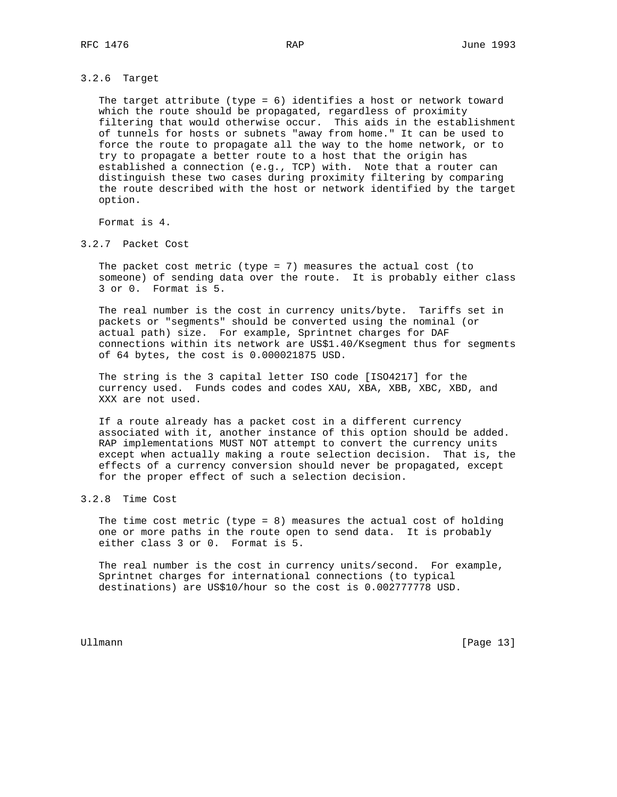#### 3.2.6 Target

 The target attribute (type = 6) identifies a host or network toward which the route should be propagated, regardless of proximity filtering that would otherwise occur. This aids in the establishment of tunnels for hosts or subnets "away from home." It can be used to force the route to propagate all the way to the home network, or to try to propagate a better route to a host that the origin has established a connection (e.g., TCP) with. Note that a router can distinguish these two cases during proximity filtering by comparing the route described with the host or network identified by the target option.

Format is 4.

3.2.7 Packet Cost

 The packet cost metric (type = 7) measures the actual cost (to someone) of sending data over the route. It is probably either class 3 or 0. Format is 5.

 The real number is the cost in currency units/byte. Tariffs set in packets or "segments" should be converted using the nominal (or actual path) size. For example, Sprintnet charges for DAF connections within its network are US\$1.40/Ksegment thus for segments of 64 bytes, the cost is 0.000021875 USD.

 The string is the 3 capital letter ISO code [ISO4217] for the currency used. Funds codes and codes XAU, XBA, XBB, XBC, XBD, and XXX are not used.

 If a route already has a packet cost in a different currency associated with it, another instance of this option should be added. RAP implementations MUST NOT attempt to convert the currency units except when actually making a route selection decision. That is, the effects of a currency conversion should never be propagated, except for the proper effect of such a selection decision.

# 3.2.8 Time Cost

 The time cost metric (type = 8) measures the actual cost of holding one or more paths in the route open to send data. It is probably either class 3 or 0. Format is 5.

 The real number is the cost in currency units/second. For example, Sprintnet charges for international connections (to typical destinations) are US\$10/hour so the cost is 0.002777778 USD.

Ullmann [Page 13]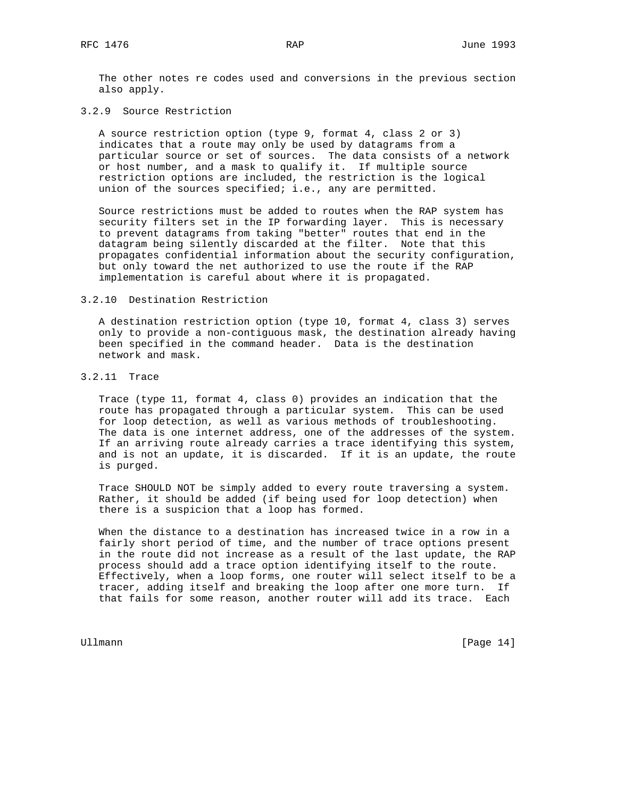The other notes re codes used and conversions in the previous section also apply.

#### 3.2.9 Source Restriction

 A source restriction option (type 9, format 4, class 2 or 3) indicates that a route may only be used by datagrams from a particular source or set of sources. The data consists of a network or host number, and a mask to qualify it. If multiple source restriction options are included, the restriction is the logical union of the sources specified; i.e., any are permitted.

 Source restrictions must be added to routes when the RAP system has security filters set in the IP forwarding layer. This is necessary to prevent datagrams from taking "better" routes that end in the datagram being silently discarded at the filter. Note that this propagates confidential information about the security configuration, but only toward the net authorized to use the route if the RAP implementation is careful about where it is propagated.

#### 3.2.10 Destination Restriction

 A destination restriction option (type 10, format 4, class 3) serves only to provide a non-contiguous mask, the destination already having been specified in the command header. Data is the destination network and mask.

### 3.2.11 Trace

 Trace (type 11, format 4, class 0) provides an indication that the route has propagated through a particular system. This can be used for loop detection, as well as various methods of troubleshooting. The data is one internet address, one of the addresses of the system. If an arriving route already carries a trace identifying this system, and is not an update, it is discarded. If it is an update, the route is purged.

 Trace SHOULD NOT be simply added to every route traversing a system. Rather, it should be added (if being used for loop detection) when there is a suspicion that a loop has formed.

 When the distance to a destination has increased twice in a row in a fairly short period of time, and the number of trace options present in the route did not increase as a result of the last update, the RAP process should add a trace option identifying itself to the route. Effectively, when a loop forms, one router will select itself to be a tracer, adding itself and breaking the loop after one more turn. If that fails for some reason, another router will add its trace. Each

Ullmann [Page 14]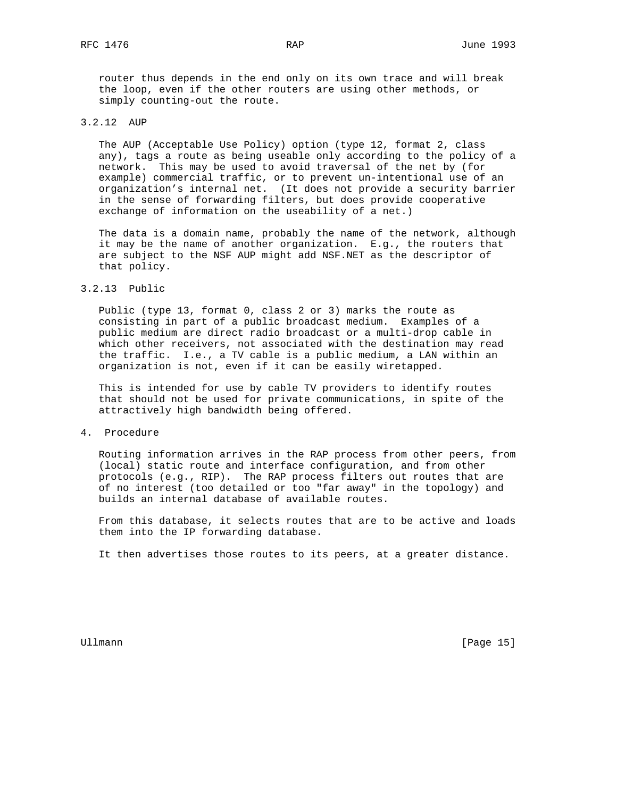router thus depends in the end only on its own trace and will break the loop, even if the other routers are using other methods, or simply counting-out the route.

# 3.2.12 AUP

 The AUP (Acceptable Use Policy) option (type 12, format 2, class any), tags a route as being useable only according to the policy of a network. This may be used to avoid traversal of the net by (for example) commercial traffic, or to prevent un-intentional use of an organization's internal net. (It does not provide a security barrier in the sense of forwarding filters, but does provide cooperative exchange of information on the useability of a net.)

 The data is a domain name, probably the name of the network, although it may be the name of another organization. E.g., the routers that are subject to the NSF AUP might add NSF.NET as the descriptor of that policy.

#### 3.2.13 Public

 Public (type 13, format 0, class 2 or 3) marks the route as consisting in part of a public broadcast medium. Examples of a public medium are direct radio broadcast or a multi-drop cable in which other receivers, not associated with the destination may read the traffic. I.e., a TV cable is a public medium, a LAN within an organization is not, even if it can be easily wiretapped.

 This is intended for use by cable TV providers to identify routes that should not be used for private communications, in spite of the attractively high bandwidth being offered.

### 4. Procedure

 Routing information arrives in the RAP process from other peers, from (local) static route and interface configuration, and from other protocols (e.g., RIP). The RAP process filters out routes that are of no interest (too detailed or too "far away" in the topology) and builds an internal database of available routes.

 From this database, it selects routes that are to be active and loads them into the IP forwarding database.

It then advertises those routes to its peers, at a greater distance.

Ullmann [Page 15]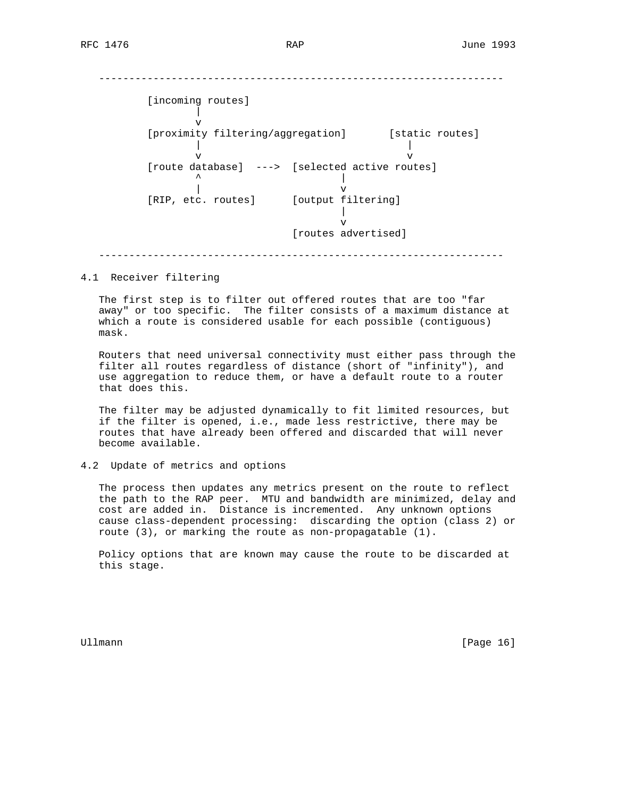#### -------------------------------------------------------------------

 [incoming routes] | v [proximity filtering/aggregation] [static routes] | | v v [route database] ---> [selected active routes]  $\sim$   $\sim$   $\sim$  | v [RIP, etc. routes] [output filtering] | v [routes advertised] -------------------------------------------------------------------

#### 4.1 Receiver filtering

 The first step is to filter out offered routes that are too "far away" or too specific. The filter consists of a maximum distance at which a route is considered usable for each possible (contiguous) mask.

 Routers that need universal connectivity must either pass through the filter all routes regardless of distance (short of "infinity"), and use aggregation to reduce them, or have a default route to a router that does this.

 The filter may be adjusted dynamically to fit limited resources, but if the filter is opened, i.e., made less restrictive, there may be routes that have already been offered and discarded that will never become available.

#### 4.2 Update of metrics and options

 The process then updates any metrics present on the route to reflect the path to the RAP peer. MTU and bandwidth are minimized, delay and cost are added in. Distance is incremented. Any unknown options cause class-dependent processing: discarding the option (class 2) or route (3), or marking the route as non-propagatable (1).

 Policy options that are known may cause the route to be discarded at this stage.

Ullmann [Page 16]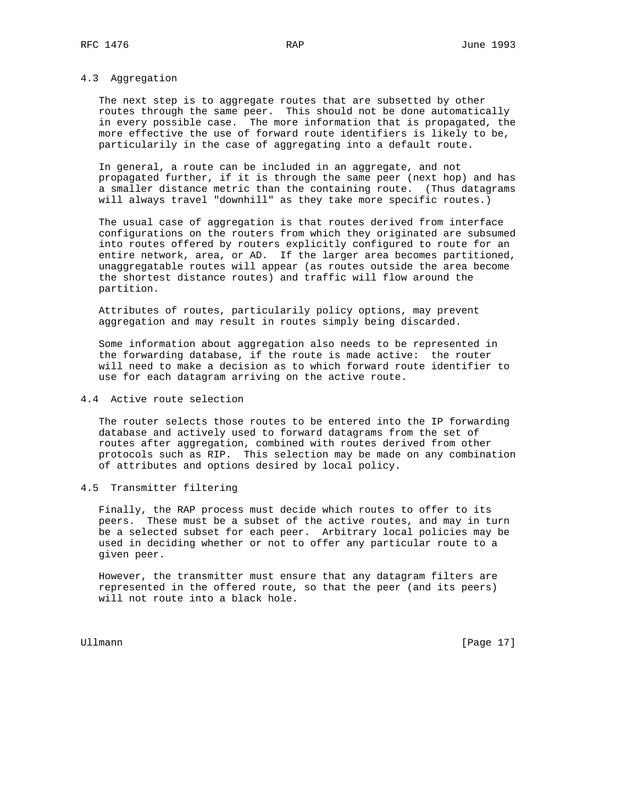# 4.3 Aggregation

 The next step is to aggregate routes that are subsetted by other routes through the same peer. This should not be done automatically in every possible case. The more information that is propagated, the more effective the use of forward route identifiers is likely to be, particularily in the case of aggregating into a default route.

 In general, a route can be included in an aggregate, and not propagated further, if it is through the same peer (next hop) and has a smaller distance metric than the containing route. (Thus datagrams will always travel "downhill" as they take more specific routes.)

 The usual case of aggregation is that routes derived from interface configurations on the routers from which they originated are subsumed into routes offered by routers explicitly configured to route for an entire network, area, or AD. If the larger area becomes partitioned, unaggregatable routes will appear (as routes outside the area become the shortest distance routes) and traffic will flow around the partition.

 Attributes of routes, particularily policy options, may prevent aggregation and may result in routes simply being discarded.

 Some information about aggregation also needs to be represented in the forwarding database, if the route is made active: the router will need to make a decision as to which forward route identifier to use for each datagram arriving on the active route.

## 4.4 Active route selection

 The router selects those routes to be entered into the IP forwarding database and actively used to forward datagrams from the set of routes after aggregation, combined with routes derived from other protocols such as RIP. This selection may be made on any combination of attributes and options desired by local policy.

#### 4.5 Transmitter filtering

 Finally, the RAP process must decide which routes to offer to its peers. These must be a subset of the active routes, and may in turn be a selected subset for each peer. Arbitrary local policies may be used in deciding whether or not to offer any particular route to a given peer.

 However, the transmitter must ensure that any datagram filters are represented in the offered route, so that the peer (and its peers) will not route into a black hole.

Ullmann [Page 17]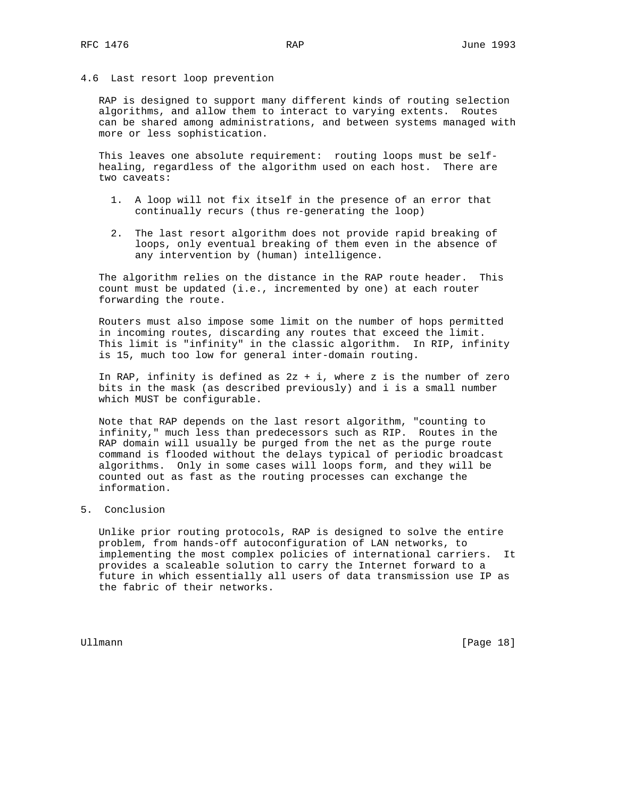### 4.6 Last resort loop prevention

 RAP is designed to support many different kinds of routing selection algorithms, and allow them to interact to varying extents. Routes can be shared among administrations, and between systems managed with more or less sophistication.

 This leaves one absolute requirement: routing loops must be self healing, regardless of the algorithm used on each host. There are two caveats:

- 1. A loop will not fix itself in the presence of an error that continually recurs (thus re-generating the loop)
- 2. The last resort algorithm does not provide rapid breaking of loops, only eventual breaking of them even in the absence of any intervention by (human) intelligence.

 The algorithm relies on the distance in the RAP route header. This count must be updated (i.e., incremented by one) at each router forwarding the route.

 Routers must also impose some limit on the number of hops permitted in incoming routes, discarding any routes that exceed the limit. This limit is "infinity" in the classic algorithm. In RIP, infinity is 15, much too low for general inter-domain routing.

In RAP, infinity is defined as  $2z + i$ , where z is the number of zero bits in the mask (as described previously) and i is a small number which MUST be configurable.

 Note that RAP depends on the last resort algorithm, "counting to infinity," much less than predecessors such as RIP. Routes in the RAP domain will usually be purged from the net as the purge route command is flooded without the delays typical of periodic broadcast algorithms. Only in some cases will loops form, and they will be counted out as fast as the routing processes can exchange the information.

## 5. Conclusion

 Unlike prior routing protocols, RAP is designed to solve the entire problem, from hands-off autoconfiguration of LAN networks, to implementing the most complex policies of international carriers. It provides a scaleable solution to carry the Internet forward to a future in which essentially all users of data transmission use IP as the fabric of their networks.

Ullmann [Page 18]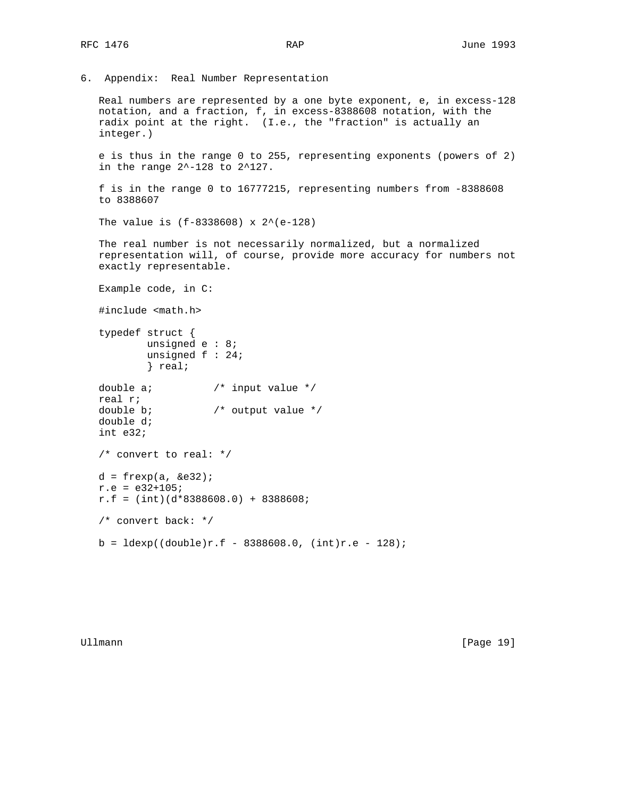```
6. Appendix: Real Number Representation
```
 Real numbers are represented by a one byte exponent, e, in excess-128 notation, and a fraction, f, in excess-8388608 notation, with the radix point at the right. (I.e., the "fraction" is actually an integer.)

 e is thus in the range 0 to 255, representing exponents (powers of 2) in the range 2^-128 to 2^127.

```
 f is in the range 0 to 16777215, representing numbers from -8388608
to 8388607
```

```
The value is (f-8338608) x 2^*(e-128)
```
 The real number is not necessarily normalized, but a normalized representation will, of course, provide more accuracy for numbers not exactly representable.

```
 Example code, in C:
```

```
 #include <math.h>
```

```
 typedef struct {
        unsigned e : 8;
        unsigned f : 24;
        } real;
```
double a;  $\frac{1}{2}$  /\* input value \*/ real r;

```
double b; \frac{1}{2} /* output value */
double d;
int e32;
```

```
 /* convert to real: */
```

```
d = frexp(a, &e32);
```
 $r.e = e32+105;$ 

```
r.f = (int)(d*8388608.0) + 8388608;
```

```
 /* convert back: */
```

```
b = \text{ldexp}((\text{double})r.f - 8388608.0, (\text{int})r.e - 128);
```